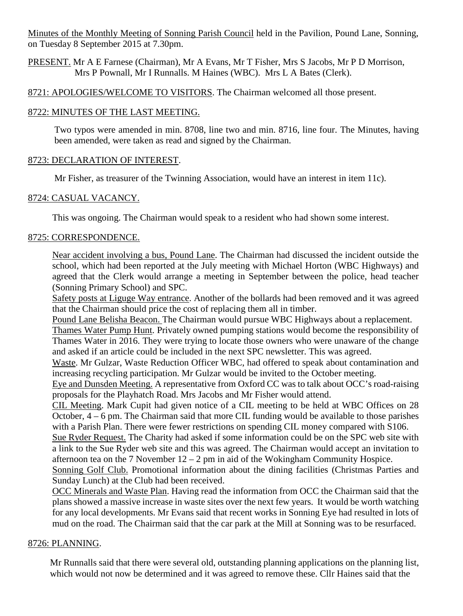Minutes of the Monthly Meeting of Sonning Parish Council held in the Pavilion, Pound Lane, Sonning, on Tuesday 8 September 2015 at 7.30pm.

PRESENT. Mr A E Farnese (Chairman), Mr A Evans, Mr T Fisher, Mrs S Jacobs, Mr P D Morrison, Mrs P Pownall, Mr I Runnalls. M Haines (WBC). Mrs L A Bates (Clerk).

8721: APOLOGIES/WELCOME TO VISITORS. The Chairman welcomed all those present.

# 8722: MINUTES OF THE LAST MEETING.

Two typos were amended in min. 8708, line two and min. 8716, line four. The Minutes, having been amended, were taken as read and signed by the Chairman.

## 8723: DECLARATION OF INTEREST.

Mr Fisher, as treasurer of the Twinning Association, would have an interest in item 11c).

## 8724: CASUAL VACANCY.

This was ongoing. The Chairman would speak to a resident who had shown some interest.

## 8725: CORRESPONDENCE.

Near accident involving a bus, Pound Lane. The Chairman had discussed the incident outside the school, which had been reported at the July meeting with Michael Horton (WBC Highways) and agreed that the Clerk would arrange a meeting in September between the police, head teacher (Sonning Primary School) and SPC.

Safety posts at Liguge Way entrance. Another of the bollards had been removed and it was agreed that the Chairman should price the cost of replacing them all in timber.

Pound Lane Belisha Beacon. The Chairman would pursue WBC Highways about a replacement.

Thames Water Pump Hunt. Privately owned pumping stations would become the responsibility of Thames Water in 2016. They were trying to locate those owners who were unaware of the change and asked if an article could be included in the next SPC newsletter. This was agreed.

Waste. Mr Gulzar, Waste Reduction Officer WBC, had offered to speak about contamination and increasing recycling participation. Mr Gulzar would be invited to the October meeting.

Eye and Dunsden Meeting. A representative from Oxford CC was to talk about OCC's road-raising proposals for the Playhatch Road. Mrs Jacobs and Mr Fisher would attend.

CIL Meeting. Mark Cupit had given notice of a CIL meeting to be held at WBC Offices on 28 October, 4 – 6 pm. The Chairman said that more CIL funding would be available to those parishes with a Parish Plan. There were fewer restrictions on spending CIL money compared with S106.

Sue Ryder Request. The Charity had asked if some information could be on the SPC web site with a link to the Sue Ryder web site and this was agreed. The Chairman would accept an invitation to afternoon tea on the 7 November 12 – 2 pm in aid of the Wokingham Community Hospice.

Sonning Golf Club. Promotional information about the dining facilities (Christmas Parties and Sunday Lunch) at the Club had been received.

OCC Minerals and Waste Plan. Having read the information from OCC the Chairman said that the plans showed a massive increase in waste sites over the next few years. It would be worth watching for any local developments. Mr Evans said that recent works in Sonning Eye had resulted in lots of mud on the road. The Chairman said that the car park at the Mill at Sonning was to be resurfaced.

### 8726: PLANNING.

Mr Runnalls said that there were several old, outstanding planning applications on the planning list, which would not now be determined and it was agreed to remove these. Cllr Haines said that the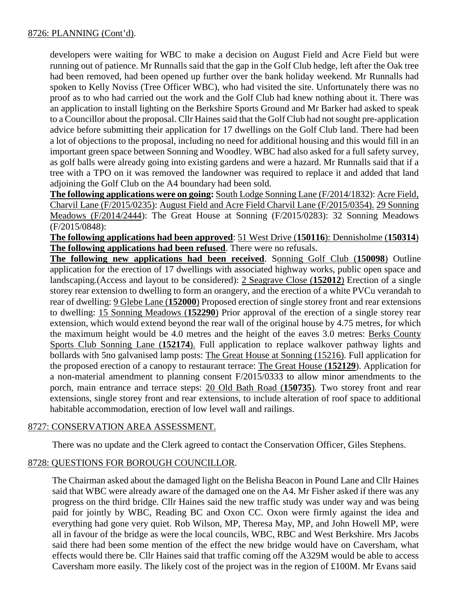## 8726: PLANNING (Cont'd).

developers were waiting for WBC to make a decision on August Field and Acre Field but were running out of patience. Mr Runnalls said that the gap in the Golf Club hedge, left after the Oak tree had been removed, had been opened up further over the bank holiday weekend. Mr Runnalls had spoken to Kelly Noviss (Tree Officer WBC), who had visited the site. Unfortunately there was no proof as to who had carried out the work and the Golf Club had knew nothing about it. There was an application to install lighting on the Berkshire Sports Ground and Mr Barker had asked to speak to a Councillor about the proposal. Cllr Haines said that the Golf Club had not sought pre-application advice before submitting their application for 17 dwellings on the Golf Club land. There had been a lot of objections to the proposal, including no need for additional housing and this would fill in an important green space between Sonning and Woodley. WBC had also asked for a full safety survey, as golf balls were already going into existing gardens and were a hazard. Mr Runnalls said that if a tree with a TPO on it was removed the landowner was required to replace it and added that land adjoining the Golf Club on the A4 boundary had been sold.

**The following applications were on going:** South Lodge Sonning Lane (F/2014/1832): Acre Field, Charvil Lane (F/2015/0235): August Field and Acre Field Charvil Lane (F/2015/0354). 29 Sonning Meadows (F/2014/2444): The Great House at Sonning (F/2015/0283): 32 Sonning Meadows (F/2015/0848):

**The following applications had been approved**: 51 West Drive (**150116**): Dennisholme (**150314**) **The following applications had been refused**. There were no refusals.

**The following new applications had been received**. Sonning Golf Club (**150098**) Outline application for the erection of 17 dwellings with associated highway works, public open space and landscaping.(Access and layout to be considered): 2 Seagrave Close (**152012**) Erection of a single storey rear extension to dwelling to form an orangery, and the erection of a white PVCu verandah to rear of dwelling: 9 Glebe Lane (**152000**) Proposed erection of single storey front and rear extensions to dwelling: 15 Sonning Meadows (**152290**) Prior approval of the erection of a single storey rear extension, which would extend beyond the rear wall of the original house by 4.75 metres, for which the maximum height would be 4.0 metres and the height of the eaves 3.0 metres: Berks County Sports Club Sonning Lane (**152174**). Full application to replace walkover pathway lights and bollards with 5no galvanised lamp posts: The Great House at Sonning (15216). Full application for the proposed erection of a canopy to restaurant terrace: The Great House (**152129**). Application for a non-material amendment to planning consent F/2015/0333 to allow minor amendments to the porch, main entrance and terrace steps: 20 Old Bath Road (**150735**)*.* Two storey front and rear extensions, single storey front and rear extensions, to include alteration of roof space to additional habitable accommodation, erection of low level wall and railings.

### 8727: CONSERVATION AREA ASSESSMENT.

There was no update and the Clerk agreed to contact the Conservation Officer, Giles Stephens.

# 8728: QUESTIONS FOR BOROUGH COUNCILLOR.

The Chairman asked about the damaged light on the Belisha Beacon in Pound Lane and Cllr Haines said that WBC were already aware of the damaged one on the A4. Mr Fisher asked if there was any progress on the third bridge. Cllr Haines said the new traffic study was under way and was being paid for jointly by WBC, Reading BC and Oxon CC. Oxon were firmly against the idea and everything had gone very quiet. Rob Wilson, MP, Theresa May, MP, and John Howell MP, were all in favour of the bridge as were the local councils, WBC, RBC and West Berkshire. Mrs Jacobs said there had been some mention of the effect the new bridge would have on Caversham, what effects would there be. Cllr Haines said that traffic coming off the A329M would be able to access Caversham more easily. The likely cost of the project was in the region of £100M. Mr Evans said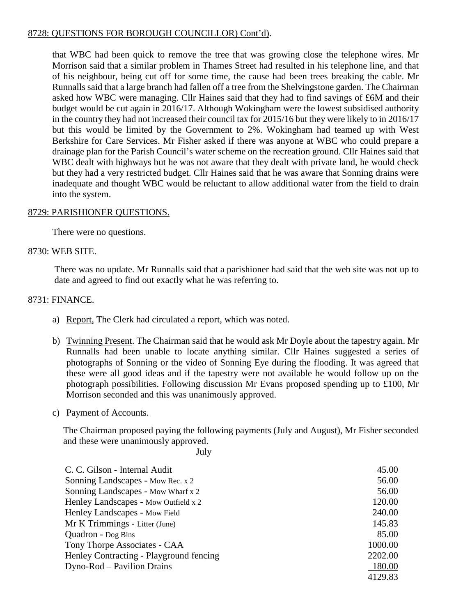# 8728: QUESTIONS FOR BOROUGH COUNCILLOR) Cont'd).

that WBC had been quick to remove the tree that was growing close the telephone wires. Mr Morrison said that a similar problem in Thames Street had resulted in his telephone line, and that of his neighbour, being cut off for some time, the cause had been trees breaking the cable. Mr Runnalls said that a large branch had fallen off a tree from the Shelvingstone garden. The Chairman asked how WBC were managing. Cllr Haines said that they had to find savings of £6M and their budget would be cut again in 2016/17. Although Wokingham were the lowest subsidised authority in the country they had not increased their council tax for 2015/16 but they were likely to in 2016/17 but this would be limited by the Government to 2%. Wokingham had teamed up with West Berkshire for Care Services. Mr Fisher asked if there was anyone at WBC who could prepare a drainage plan for the Parish Council's water scheme on the recreation ground. Cllr Haines said that WBC dealt with highways but he was not aware that they dealt with private land, he would check but they had a very restricted budget. Cllr Haines said that he was aware that Sonning drains were inadequate and thought WBC would be reluctant to allow additional water from the field to drain into the system.

## 8729: PARISHIONER QUESTIONS.

There were no questions.

### 8730: WEB SITE.

There was no update. Mr Runnalls said that a parishioner had said that the web site was not up to date and agreed to find out exactly what he was referring to.

### 8731: FINANCE.

- a) Report, The Clerk had circulated a report, which was noted.
- b) Twinning Present. The Chairman said that he would ask Mr Doyle about the tapestry again. Mr Runnalls had been unable to locate anything similar. Cllr Haines suggested a series of photographs of Sonning or the video of Sonning Eye during the flooding. It was agreed that these were all good ideas and if the tapestry were not available he would follow up on the photograph possibilities. Following discussion Mr Evans proposed spending up to £100, Mr Morrison seconded and this was unanimously approved.
- c) Payment of Accounts.

The Chairman proposed paying the following payments (July and August), Mr Fisher seconded and these were unanimously approved.

July

| C. C. Gilson - Internal Audit           | 45.00   |
|-----------------------------------------|---------|
| Sonning Landscapes - Mow Rec. x 2       | 56.00   |
| Sonning Landscapes - Mow Wharf x 2      | 56.00   |
| Henley Landscapes - Mow Outfield x 2    | 120.00  |
| Henley Landscapes - Mow Field           | 240.00  |
| Mr K Trimmings - Litter (June)          | 145.83  |
| Quadron - Dog Bins                      | 85.00   |
| Tony Thorpe Associates - CAA            | 1000.00 |
| Henley Contracting - Playground fencing | 2202.00 |
| Dyno-Rod – Pavilion Drains              | 180.00  |
|                                         | 4129.83 |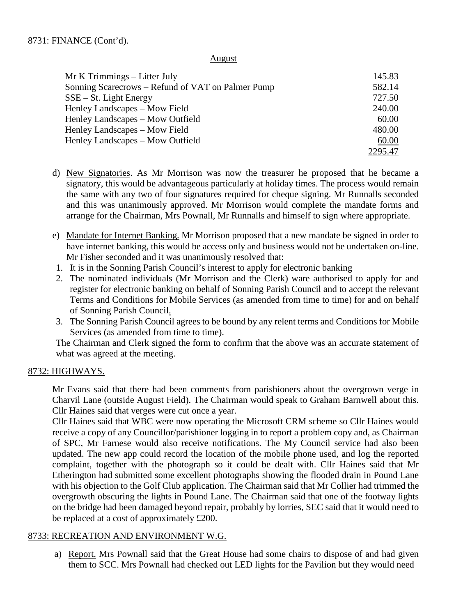#### August

| $Mr K$ Trimmings – Litter July                    | 145.83  |
|---------------------------------------------------|---------|
| Sonning Scarecrows – Refund of VAT on Palmer Pump | 582.14  |
| $SSE - St.$ Light Energy                          | 727.50  |
| Henley Landscapes – Mow Field                     | 240.00  |
| Henley Landscapes – Mow Outfield                  | 60.00   |
| Henley Landscapes – Mow Field                     | 480.00  |
| Henley Landscapes – Mow Outfield                  | 60.00   |
|                                                   | 2295.47 |

- d) New Signatories. As Mr Morrison was now the treasurer he proposed that he became a signatory, this would be advantageous particularly at holiday times. The process would remain the same with any two of four signatures required for cheque signing. Mr Runnalls seconded and this was unanimously approved. Mr Morrison would complete the mandate forms and arrange for the Chairman, Mrs Pownall, Mr Runnalls and himself to sign where appropriate.
- e) Mandate for Internet Banking. Mr Morrison proposed that a new mandate be signed in order to have internet banking, this would be access only and business would not be undertaken on-line. Mr Fisher seconded and it was unanimously resolved that:
- 1. It is in the Sonning Parish Council's interest to apply for electronic banking
- 2. The nominated individuals (Mr Morrison and the Clerk) ware authorised to apply for and register for electronic banking on behalf of Sonning Parish Council and to accept the relevant Terms and Conditions for Mobile Services (as amended from time to time) for and on behalf of Sonning Parish Council.
- 3. The Sonning Parish Council agrees to be bound by any relent terms and Conditions for Mobile Services (as amended from time to time).

The Chairman and Clerk signed the form to confirm that the above was an accurate statement of what was agreed at the meeting.

# 8732: HIGHWAYS.

Mr Evans said that there had been comments from parishioners about the overgrown verge in Charvil Lane (outside August Field). The Chairman would speak to Graham Barnwell about this. Cllr Haines said that verges were cut once a year.

Cllr Haines said that WBC were now operating the Microsoft CRM scheme so Cllr Haines would receive a copy of any Councillor/parishioner logging in to report a problem copy and, as Chairman of SPC, Mr Farnese would also receive notifications. The My Council service had also been updated. The new app could record the location of the mobile phone used, and log the reported complaint, together with the photograph so it could be dealt with. Cllr Haines said that Mr Etherington had submitted some excellent photographs showing the flooded drain in Pound Lane with his objection to the Golf Club application. The Chairman said that Mr Collier had trimmed the overgrowth obscuring the lights in Pound Lane. The Chairman said that one of the footway lights on the bridge had been damaged beyond repair, probably by lorries, SEC said that it would need to be replaced at a cost of approximately £200.

### 8733: RECREATION AND ENVIRONMENT W.G.

a) Report. Mrs Pownall said that the Great House had some chairs to dispose of and had given them to SCC. Mrs Pownall had checked out LED lights for the Pavilion but they would need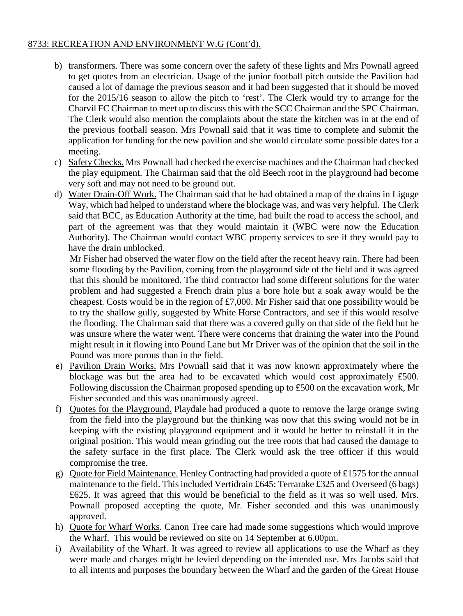# 8733: RECREATION AND ENVIRONMENT W.G (Cont'd).

- b) transformers. There was some concern over the safety of these lights and Mrs Pownall agreed to get quotes from an electrician. Usage of the junior football pitch outside the Pavilion had caused a lot of damage the previous season and it had been suggested that it should be moved for the 2015/16 season to allow the pitch to 'rest'. The Clerk would try to arrange for the Charvil FC Chairman to meet up to discuss this with the SCC Chairman and the SPC Chairman. The Clerk would also mention the complaints about the state the kitchen was in at the end of the previous football season. Mrs Pownall said that it was time to complete and submit the application for funding for the new pavilion and she would circulate some possible dates for a meeting.
- c) Safety Checks. Mrs Pownall had checked the exercise machines and the Chairman had checked the play equipment. The Chairman said that the old Beech root in the playground had become very soft and may not need to be ground out.
- d) Water Drain-Off Work. The Chairman said that he had obtained a map of the drains in Liguge Way, which had helped to understand where the blockage was, and was very helpful. The Clerk said that BCC, as Education Authority at the time, had built the road to access the school, and part of the agreement was that they would maintain it (WBC were now the Education Authority). The Chairman would contact WBC property services to see if they would pay to have the drain unblocked.

Mr Fisher had observed the water flow on the field after the recent heavy rain. There had been some flooding by the Pavilion, coming from the playground side of the field and it was agreed that this should be monitored. The third contractor had some different solutions for the water problem and had suggested a French drain plus a bore hole but a soak away would be the cheapest. Costs would be in the region of £7,000. Mr Fisher said that one possibility would be to try the shallow gully, suggested by White Horse Contractors, and see if this would resolve the flooding. The Chairman said that there was a covered gully on that side of the field but he was unsure where the water went. There were concerns that draining the water into the Pound might result in it flowing into Pound Lane but Mr Driver was of the opinion that the soil in the Pound was more porous than in the field.

- e) Pavilion Drain Works. Mrs Pownall said that it was now known approximately where the blockage was but the area had to be excavated which would cost approximately £500. Following discussion the Chairman proposed spending up to £500 on the excavation work, Mr Fisher seconded and this was unanimously agreed.
- f) Quotes for the Playground. Playdale had produced a quote to remove the large orange swing from the field into the playground but the thinking was now that this swing would not be in keeping with the existing playground equipment and it would be better to reinstall it in the original position. This would mean grinding out the tree roots that had caused the damage to the safety surface in the first place. The Clerk would ask the tree officer if this would compromise the tree.
- g) Quote for Field Maintenance. Henley Contracting had provided a quote of £1575 for the annual maintenance to the field. This included Vertidrain £645: Terrarake £325 and Overseed (6 bags) £625. It was agreed that this would be beneficial to the field as it was so well used. Mrs. Pownall proposed accepting the quote, Mr. Fisher seconded and this was unanimously approved.
- h) Quote for Wharf Works. Canon Tree care had made some suggestions which would improve the Wharf. This would be reviewed on site on 14 September at 6.00pm.
- i) Availability of the Wharf. It was agreed to review all applications to use the Wharf as they were made and charges might be levied depending on the intended use. Mrs Jacobs said that to all intents and purposes the boundary between the Wharf and the garden of the Great House